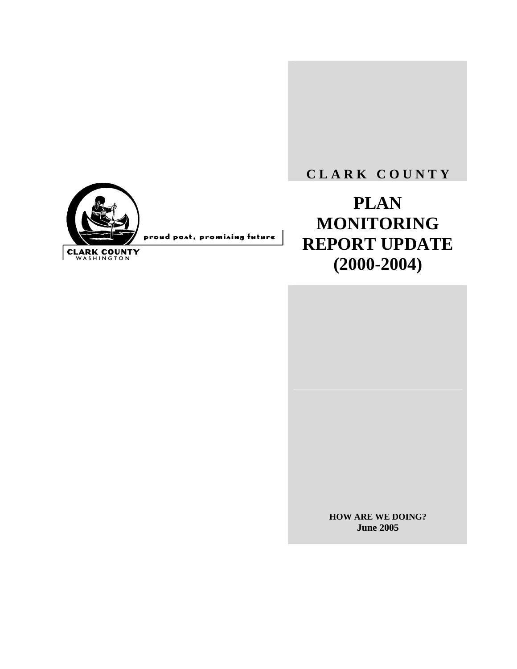

**C L A R K C O U N T Y**

**PLAN MONITORING REPORT UPDATE (2000-2004)** 

> **HOW ARE WE DOING? June 2005**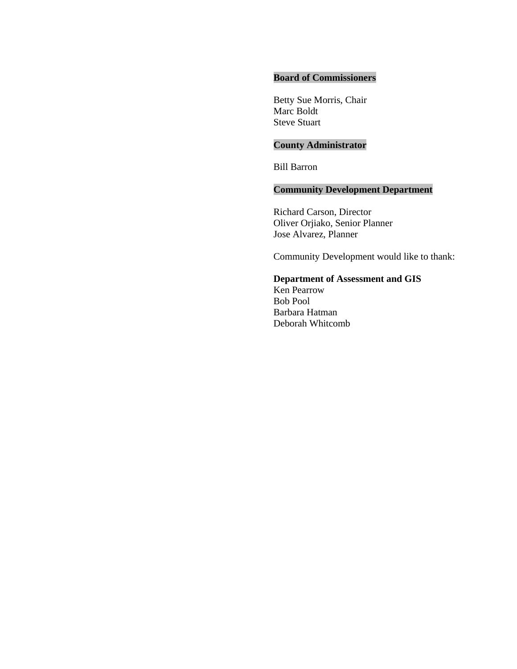#### **Board of Commissioners**

Betty Sue Morris, Chair Marc Boldt Steve Stuart

# **County Administrator**

Bill Barron

# **Community Development Department**

Richard Carson, Director Oliver Orjiako, Senior Planner Jose Alvarez, Planner

Community Development would like to thank:

# **Department of Assessment and GIS**

Ken Pearrow Bob Pool Barbara Hatman Deborah Whitcomb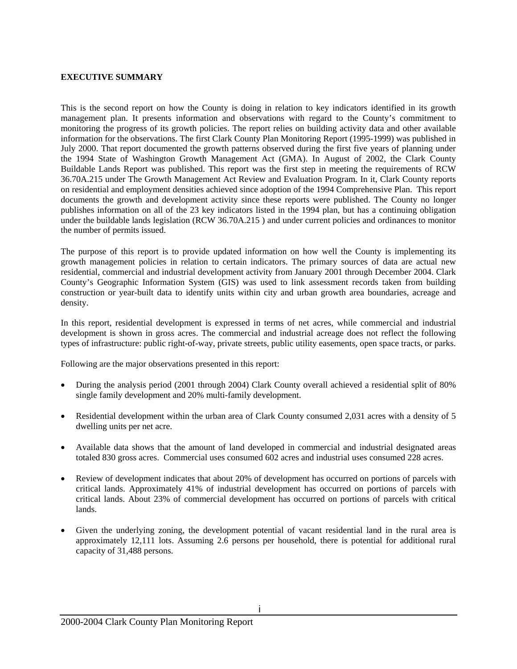#### **EXECUTIVE SUMMARY**

This is the second report on how the County is doing in relation to key indicators identified in its growth management plan. It presents information and observations with regard to the County's commitment to monitoring the progress of its growth policies. The report relies on building activity data and other available information for the observations. The first Clark County Plan Monitoring Report (1995-1999) was published in July 2000. That report documented the growth patterns observed during the first five years of planning under the 1994 State of Washington Growth Management Act (GMA). In August of 2002, the Clark County Buildable Lands Report was published. This report was the first step in meeting the requirements of RCW 36.70A.215 under The Growth Management Act Review and Evaluation Program. In it, Clark County reports on residential and employment densities achieved since adoption of the 1994 Comprehensive Plan. This report documents the growth and development activity since these reports were published. The County no longer publishes information on all of the 23 key indicators listed in the 1994 plan, but has a continuing obligation under the buildable lands legislation (RCW 36.70A.215 ) and under current policies and ordinances to monitor the number of permits issued.

The purpose of this report is to provide updated information on how well the County is implementing its growth management policies in relation to certain indicators. The primary sources of data are actual new residential, commercial and industrial development activity from January 2001 through December 2004. Clark County's Geographic Information System (GIS) was used to link assessment records taken from building construction or year-built data to identify units within city and urban growth area boundaries, acreage and density.

In this report, residential development is expressed in terms of net acres, while commercial and industrial development is shown in gross acres. The commercial and industrial acreage does not reflect the following types of infrastructure: public right-of-way, private streets, public utility easements, open space tracts, or parks.

Following are the major observations presented in this report:

- During the analysis period (2001 through 2004) Clark County overall achieved a residential split of 80% single family development and 20% multi-family development.
- Residential development within the urban area of Clark County consumed 2,031 acres with a density of 5 dwelling units per net acre.
- Available data shows that the amount of land developed in commercial and industrial designated areas totaled 830 gross acres. Commercial uses consumed 602 acres and industrial uses consumed 228 acres.
- Review of development indicates that about 20% of development has occurred on portions of parcels with critical lands. Approximately 41% of industrial development has occurred on portions of parcels with critical lands. About 23% of commercial development has occurred on portions of parcels with critical lands.
- Given the underlying zoning, the development potential of vacant residential land in the rural area is approximately 12,111 lots. Assuming 2.6 persons per household, there is potential for additional rural capacity of 31,488 persons.

i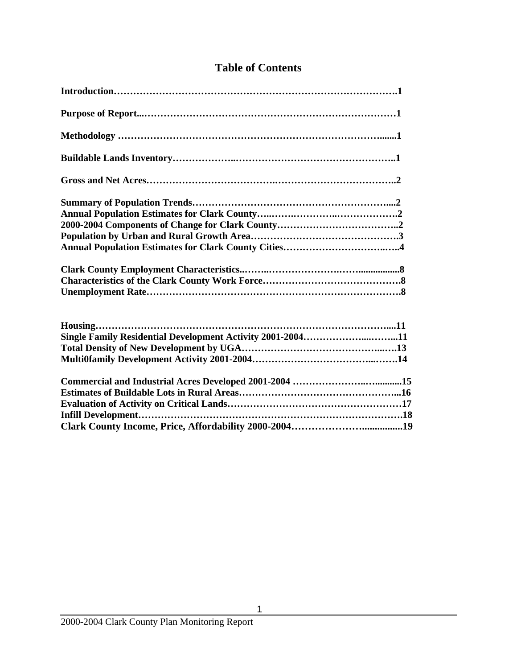| Single Family Residential Development Activity 2001-200411 |
|------------------------------------------------------------|
|                                                            |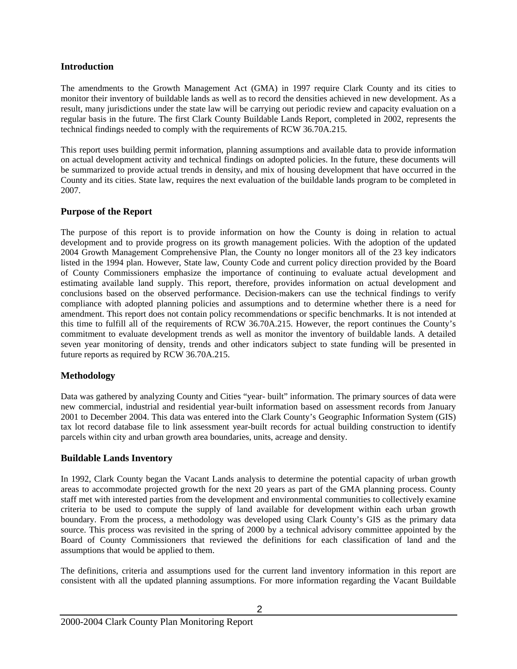#### **Introduction**

The amendments to the Growth Management Act (GMA) in 1997 require Clark County and its cities to monitor their inventory of buildable lands as well as to record the densities achieved in new development. As a result, many jurisdictions under the state law will be carrying out periodic review and capacity evaluation on a regular basis in the future. The first Clark County Buildable Lands Report, completed in 2002, represents the technical findings needed to comply with the requirements of RCW 36.70A.215.

This report uses building permit information, planning assumptions and available data to provide information on actual development activity and technical findings on adopted policies. In the future, these documents will be summarized to provide actual trends in density, and mix of housing development that have occurred in the County and its cities. State law, requires the next evaluation of the buildable lands program to be completed in 2007.

# **Purpose of the Report**

The purpose of this report is to provide information on how the County is doing in relation to actual development and to provide progress on its growth management policies. With the adoption of the updated 2004 Growth Management Comprehensive Plan, the County no longer monitors all of the 23 key indicators listed in the 1994 plan. However, State law, County Code and current policy direction provided by the Board of County Commissioners emphasize the importance of continuing to evaluate actual development and estimating available land supply. This report, therefore, provides information on actual development and conclusions based on the observed performance. Decision-makers can use the technical findings to verify compliance with adopted planning policies and assumptions and to determine whether there is a need for amendment. This report does not contain policy recommendations or specific benchmarks. It is not intended at this time to fulfill all of the requirements of RCW 36.70A.215. However, the report continues the County's commitment to evaluate development trends as well as monitor the inventory of buildable lands. A detailed seven year monitoring of density, trends and other indicators subject to state funding will be presented in future reports as required by RCW 36.70A.215.

## **Methodology**

Data was gathered by analyzing County and Cities "year- built" information. The primary sources of data were new commercial, industrial and residential year-built information based on assessment records from January 2001 to December 2004. This data was entered into the Clark County's Geographic Information System (GIS) tax lot record database file to link assessment year-built records for actual building construction to identify parcels within city and urban growth area boundaries, units, acreage and density.

# **Buildable Lands Inventory**

In 1992, Clark County began the Vacant Lands analysis to determine the potential capacity of urban growth areas to accommodate projected growth for the next 20 years as part of the GMA planning process. County staff met with interested parties from the development and environmental communities to collectively examine criteria to be used to compute the supply of land available for development within each urban growth boundary. From the process, a methodology was developed using Clark County's GIS as the primary data source. This process was revisited in the spring of 2000 by a technical advisory committee appointed by the Board of County Commissioners that reviewed the definitions for each classification of land and the assumptions that would be applied to them.

The definitions, criteria and assumptions used for the current land inventory information in this report are consistent with all the updated planning assumptions. For more information regarding the Vacant Buildable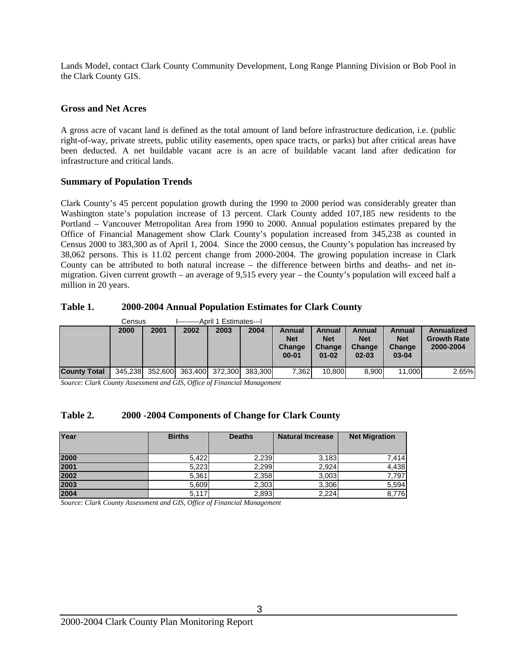Lands Model, contact Clark County Community Development, Long Range Planning Division or Bob Pool in the Clark County GIS.

#### **Gross and Net Acres**

A gross acre of vacant land is defined as the total amount of land before infrastructure dedication, i.e. (public right-of-way, private streets, public utility easements, open space tracts, or parks) but after critical areas have been deducted. A net buildable vacant acre is an acre of buildable vacant land after dedication for infrastructure and critical lands.

#### **Summary of Population Trends**

Clark County's 45 percent population growth during the 1990 to 2000 period was considerably greater than Washington state's population increase of 13 percent. Clark County added 107,185 new residents to the Portland – Vancouver Metropolitan Area from 1990 to 2000. Annual population estimates prepared by the Office of Financial Management show Clark County's population increased from 345,238 as counted in Census 2000 to 383,300 as of April 1, 2004. Since the 2000 census, the County's population has increased by 38,062 persons. This is 11.02 percent change from 2000-2004. The growing population increase in Clark County can be attributed to both natural increase – the difference between births and deaths- and net inmigration. Given current growth – an average of 9,515 every year – the County's population will exceed half a million in 20 years.

#### **Table 1. 2000-2004 Annual Population Estimates for Clark County**

|                     | Census |      | I---------April 1 Estimates---I         |      |      |                                             |                                             |                                             |                                             |                                               |
|---------------------|--------|------|-----------------------------------------|------|------|---------------------------------------------|---------------------------------------------|---------------------------------------------|---------------------------------------------|-----------------------------------------------|
|                     | 2000   | 2001 | 2002                                    | 2003 | 2004 | Annual<br><b>Net</b><br>Change<br>$00 - 01$ | Annual<br><b>Net</b><br>Change<br>$01 - 02$ | Annual<br><b>Net</b><br>Change<br>$02 - 03$ | Annual<br><b>Net</b><br>Change<br>$03 - 04$ | Annualized<br><b>Growth Rate</b><br>2000-2004 |
| <b>County Total</b> |        |      | 345,238 352,600 363,400 372,300 383,300 |      |      | 7,362                                       | 10.800                                      | 8.900                                       | 11.000                                      | 2.65%                                         |

*Source: Clark County Assessment and GIS, Office of Financial Management*

## **Table 2. 2000 -2004 Components of Change for Clark County**

| Year | <b>Births</b> | <b>Deaths</b> | <b>Natural Increase</b> | <b>Net Migration</b> |
|------|---------------|---------------|-------------------------|----------------------|
| 2000 | 5,422         | 2,239         | 3,183                   | 7,414                |
| 2001 | 5,223         | 2,299         | 2.924                   | 4,438                |
| 2002 | 5,361         | 2,358         | 3.003                   | 7,797                |
| 2003 | 5,609         | 2,303         | 3,306                   | 5,594                |
| 2004 | 5,117         | 2,893         | 2,224                   | 8,776                |

*Source: Clark County Assessment and GIS, Office of Financial Management*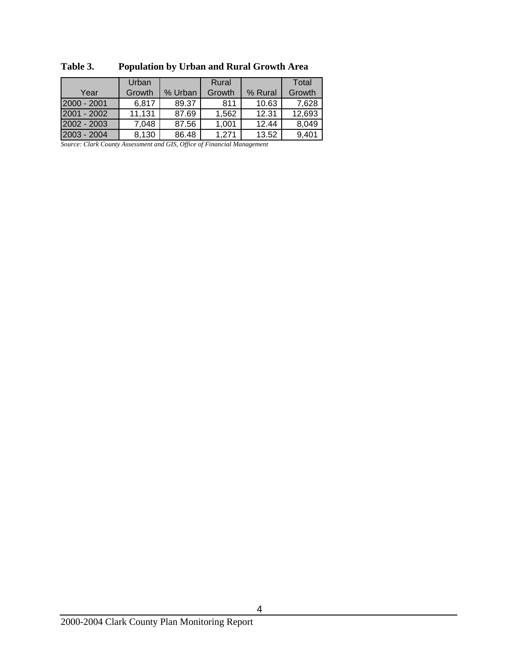|               | Urban  |         | Rural  |         | Total  |
|---------------|--------|---------|--------|---------|--------|
| Year          | Growth | % Urban | Growth | % Rural | Growth |
| 2000 - 2001   | 6,817  | 89.37   | 811    | 10.63   | 7,628  |
| $2001 - 2002$ | 11,131 | 87.69   | 1,562  | 12.31   | 12,693 |
| 2002 - 2003   | 7,048  | 87.56   | 1.001  | 12.44   | 8,049  |
| 2003 - 2004   | 8,130  | 86.48   | 1.271  | 13.52   | 9,401  |

**Table 3. Population by Urban and Rural Growth Area** 

*Source: Clark County Assessment and GIS, Office of Financial Management*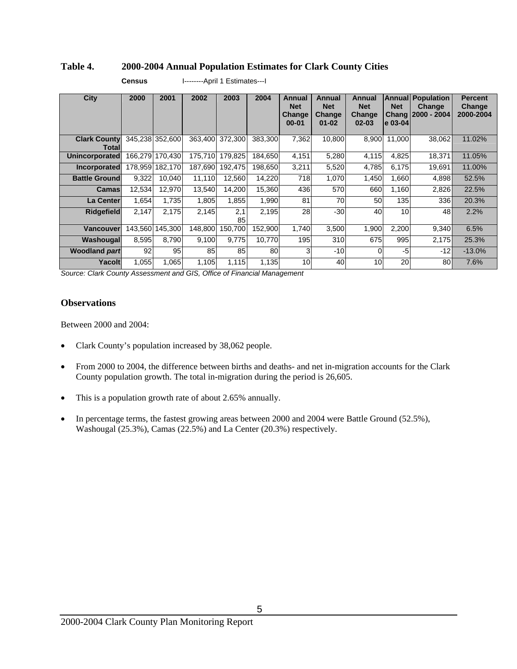## **Table 4. 2000-2004 Annual Population Estimates for Clark County Cities**

| City                         | 2000    | 2001            | 2002            | 2003      | 2004    | Annual<br><b>Net</b><br>Change<br>$00 - 01$ | Annual<br><b>Net</b><br>Change<br>$01 - 02$ | Annual<br><b>Net</b><br>Change<br>$02 - 03$ | <b>Net</b><br>le 03-04l | <b>Annual Population</b><br>Change<br>Chang   2000 - 2004 | <b>Percent</b><br>Change<br>2000-2004 |
|------------------------------|---------|-----------------|-----------------|-----------|---------|---------------------------------------------|---------------------------------------------|---------------------------------------------|-------------------------|-----------------------------------------------------------|---------------------------------------|
| <b>Clark County</b><br>Total |         | 345,238 352,600 | 363,400         | 372,300   | 383,300 | 7,362                                       | 10,800                                      | 8,900                                       | 11.000                  | 38,062                                                    | 11.02%                                |
| <b>Unincorporated</b>        |         | 166.279 170.430 | 175.710         | 179.825   | 184.650 | 4.151                                       | 5,280                                       | 4,115                                       | 4.825                   | 18,371                                                    | 11.05%                                |
| Incorporated                 |         | 178,959 182,170 | 187,690         | 192.475   | 198.650 | 3,211                                       | 5,520                                       | 4,785                                       | 6,175                   | 19,691                                                    | 11.00%                                |
| <b>Battle Ground</b>         | 9,322   | 10,040          | 11,110          | 12,560    | 14,220  | 718                                         | 1,070                                       | 1,450                                       | 1,660                   | 4,898                                                     | 52.5%                                 |
| Camas                        | 12,534  | 12,970          | 13,540          | 14.200    | 15.360  | 436                                         | 570                                         | 660                                         | 1,160                   | 2,826                                                     | 22.5%                                 |
| La Center                    | 1,654   | 1,735           | 1,805           | 1,855     | 1,990   | 81                                          | 70                                          | 50                                          | 135                     | 336l                                                      | 20.3%                                 |
| <b>Ridgefield</b>            | 2,147   | 2,175           | 2,145           | 2,1<br>85 | 2,195   | 28                                          | $-30$                                       | 40                                          | 10                      | 48I                                                       | 2.2%                                  |
| Vancouver                    | 143.560 | 145.300         | 148.800         | 150.700   | 152.900 | 1.740                                       | 3,500                                       | 1.900                                       | 2,200                   | 9,340                                                     | 6.5%                                  |
| Washougal                    | 8,595   | 8,790           | 9,100           | 9.775     | 10.770  | 195                                         | 310                                         | 675                                         | 995                     | 2,175                                                     | 25.3%                                 |
| <b>Woodland part</b>         | 92      | 95              | 85 <sub>1</sub> | 85        | 80      | 3                                           | $-10$                                       | 0                                           | $-5$                    | $-12$                                                     | $-13.0%$                              |
| Yacolt                       | 1,055   | 1,065           | 1,105           | 1,115     | 1,135   | 10                                          | 40                                          | 10                                          | 20                      | 80l                                                       | 7.6%                                  |

**Census** I--------April 1 Estimates---I

*Source: Clark County Assessment and GIS, Office of Financial Management*

#### **Observations**

Between 2000 and 2004:

- Clark County's population increased by 38,062 people.
- From 2000 to 2004, the difference between births and deaths- and net in-migration accounts for the Clark County population growth. The total in-migration during the period is 26,605.
- This is a population growth rate of about 2.65% annually.
- In percentage terms, the fastest growing areas between 2000 and 2004 were Battle Ground (52.5%), Washougal (25.3%), Camas (22.5%) and La Center (20.3%) respectively.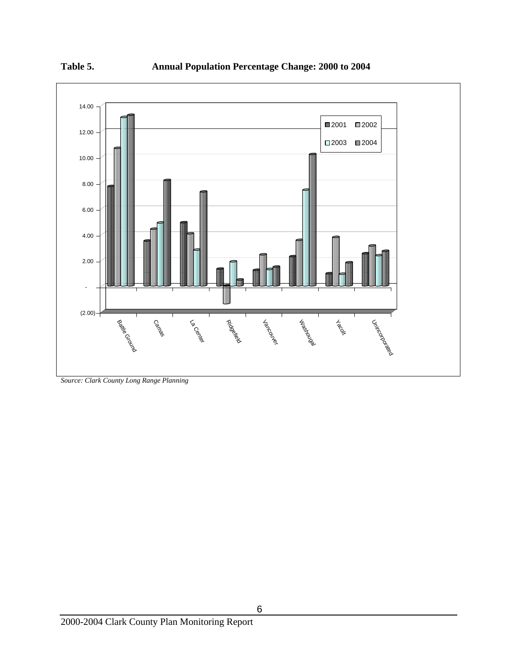



*Source: Clark County Long Range Planning*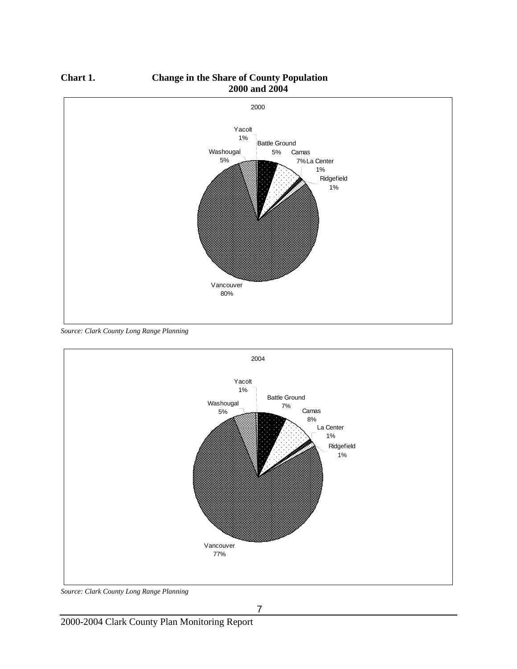

**Chart 1. Change in the Share of County Population 2000 and 2004** 

*Source: Clark County Long Range Planning* 



*Source: Clark County Long Range Planning*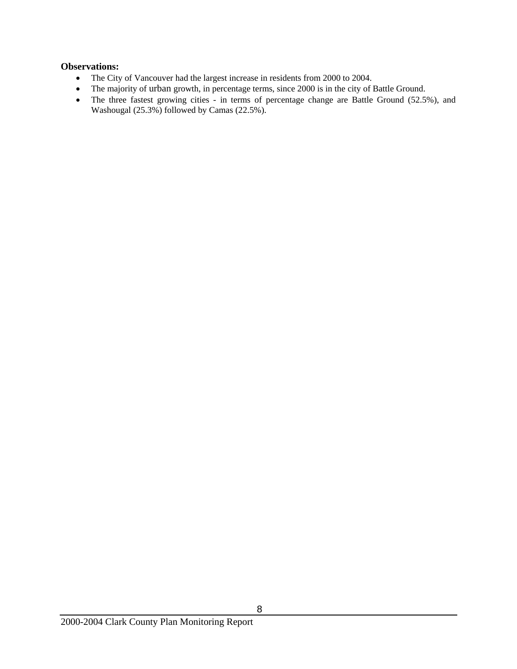- The City of Vancouver had the largest increase in residents from 2000 to 2004.
- The majority of urban growth, in percentage terms, since 2000 is in the city of Battle Ground.
- The three fastest growing cities in terms of percentage change are Battle Ground (52.5%), and Washougal (25.3%) followed by Camas (22.5%).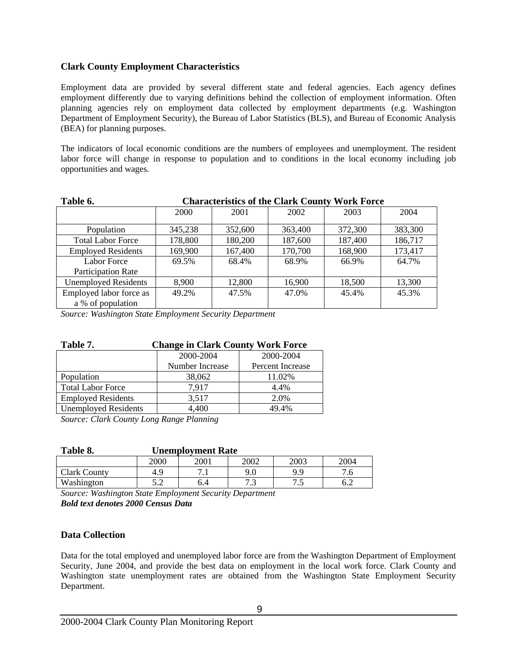## **Clark County Employment Characteristics**

Employment data are provided by several different state and federal agencies. Each agency defines employment differently due to varying definitions behind the collection of employment information. Often planning agencies rely on employment data collected by employment departments (e.g. Washington Department of Employment Security), the Bureau of Labor Statistics (BLS), and Bureau of Economic Analysis (BEA) for planning purposes.

The indicators of local economic conditions are the numbers of employees and unemployment. The resident labor force will change in response to population and to conditions in the local economy including job opportunities and wages.

| Table 6.                    | <b>Characteristics of the Clark County Work Force</b> |         |         |         |         |  |
|-----------------------------|-------------------------------------------------------|---------|---------|---------|---------|--|
|                             | 2000                                                  | 2001    | 2002    | 2003    | 2004    |  |
| Population                  | 345,238                                               | 352,600 | 363,400 | 372,300 | 383,300 |  |
| <b>Total Labor Force</b>    | 178,800                                               | 180,200 | 187,600 | 187,400 | 186,717 |  |
| <b>Employed Residents</b>   | 169,900                                               | 167,400 | 170,700 | 168,900 | 173,417 |  |
| Labor Force                 | 69.5%                                                 | 68.4%   | 68.9%   | 66.9%   | 64.7%   |  |
| Participation Rate          |                                                       |         |         |         |         |  |
| <b>Unemployed Residents</b> | 8.900                                                 | 12,800  | 16,900  | 18,500  | 13,300  |  |
| Employed labor force as     | 49.2%                                                 | 47.5%   | 47.0%   | 45.4%   | 45.3%   |  |
| a % of population           |                                                       |         |         |         |         |  |

*Source: Washington State Employment Security Department* 

| Table 7.                    | <b>Change in Clark County Work Force</b> |                         |  |  |  |  |  |  |
|-----------------------------|------------------------------------------|-------------------------|--|--|--|--|--|--|
|                             | 2000-2004                                | 2000-2004               |  |  |  |  |  |  |
|                             | Number Increase                          | <b>Percent Increase</b> |  |  |  |  |  |  |
| Population                  | 38,062                                   | 11.02%                  |  |  |  |  |  |  |
| <b>Total Labor Force</b>    | 7,917                                    | 4.4%                    |  |  |  |  |  |  |
| <b>Employed Residents</b>   | 3,517                                    | 2.0%                    |  |  |  |  |  |  |
| <b>Unemployed Residents</b> | 4,400                                    | 49.4%                   |  |  |  |  |  |  |

*Source: Clark County Long Range Planning* 

| Table 8.            | <b>Unemployment Rate</b> |      |          |      |      |  |  |
|---------------------|--------------------------|------|----------|------|------|--|--|
|                     | 2000                     | 2001 | 2002     | 2003 | 2004 |  |  |
| <b>Clark County</b> | 4.9                      |      | 9.0      | 9 Q  |      |  |  |
| Washington          | ר ה<br>ے .               | 6.4  | 72<br>ن. | ت    |      |  |  |

*Source: Washington State Employment Security Department Bold text denotes 2000 Census Data*

## **Data Collection**

Data for the total employed and unemployed labor force are from the Washington Department of Employment Security, June 2004, and provide the best data on employment in the local work force. Clark County and Washington state unemployment rates are obtained from the Washington State Employment Security Department.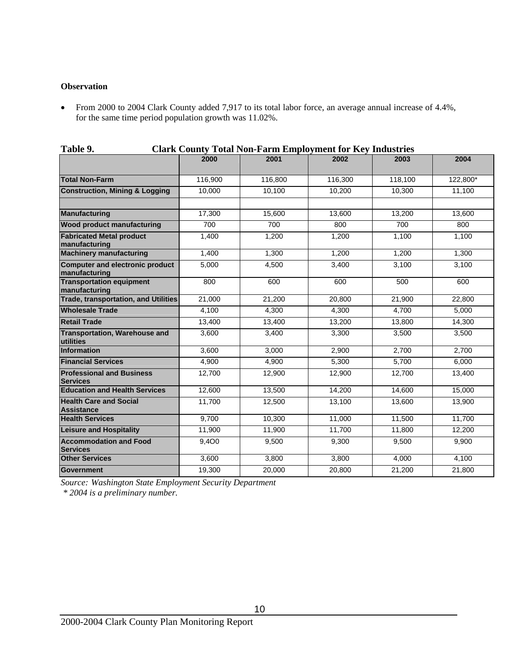#### **Observation**

• From 2000 to 2004 Clark County added 7,917 to its total labor force, an average annual increase of 4.4%, for the same time period population growth was 11.02%.

| Table 9.<br>Clark County Total Non-Farm Employment for Key Industries |         |         |         |         |          |  |
|-----------------------------------------------------------------------|---------|---------|---------|---------|----------|--|
|                                                                       | 2000    | 2001    | 2002    | 2003    | 2004     |  |
| <b>Total Non-Farm</b>                                                 | 116,900 | 116,800 | 116,300 | 118,100 | 122,800* |  |
| <b>Construction, Mining &amp; Logging</b>                             | 10,000  | 10,100  | 10,200  | 10,300  | 11,100   |  |
| Manufacturing                                                         | 17,300  | 15,600  | 13,600  | 13,200  | 13,600   |  |
| <b>Wood product manufacturing</b>                                     | 700     | 700     | 800     | 700     | 800      |  |
| <b>Fabricated Metal product</b><br>manufacturing                      | 1,400   | 1,200   | 1,200   | 1,100   | 1,100    |  |
| <b>Machinery manufacturing</b>                                        | 1,400   | 1,300   | 1,200   | 1,200   | 1,300    |  |
| Computer and electronic product<br>manufacturing                      | 5,000   | 4,500   | 3,400   | 3,100   | 3,100    |  |
| <b>Transportation equipment</b><br>manufacturing                      | 800     | 600     | 600     | 500     | 600      |  |
| <b>Trade, transportation, and Utilities</b>                           | 21,000  | 21,200  | 20,800  | 21,900  | 22,800   |  |
| <b>Wholesale Trade</b>                                                | 4,100   | 4,300   | 4,300   | 4,700   | 5,000    |  |
| <b>Retail Trade</b>                                                   | 13,400  | 13,400  | 13,200  | 13,800  | 14,300   |  |
| <b>Transportation, Warehouse and</b><br>utilities                     | 3,600   | 3,400   | 3,300   | 3,500   | 3,500    |  |
| Information                                                           | 3,600   | 3,000   | 2,900   | 2,700   | 2,700    |  |
| <b>Financial Services</b>                                             | 4,900   | 4,900   | 5,300   | 5,700   | 6,000    |  |
| <b>Professional and Business</b><br><b>Services</b>                   | 12,700  | 12,900  | 12,900  | 12,700  | 13,400   |  |
| <b>Education and Health Services</b>                                  | 12,600  | 13,500  | 14,200  | 14,600  | 15,000   |  |
| <b>Health Care and Social</b><br><b>Assistance</b>                    | 11,700  | 12,500  | 13,100  | 13,600  | 13,900   |  |
| <b>Health Services</b>                                                | 9,700   | 10,300  | 11,000  | 11,500  | 11,700   |  |
| <b>Leisure and Hospitality</b>                                        | 11,900  | 11,900  | 11,700  | 11,800  | 12,200   |  |
| <b>Accommodation and Food</b><br><b>Services</b>                      | 9,4O0   | 9,500   | 9,300   | 9,500   | 9,900    |  |
| <b>Other Services</b>                                                 | 3,600   | 3,800   | 3,800   | 4,000   | 4,100    |  |
| Government                                                            | 19,300  | 20,000  | 20,800  | 21,200  | 21,800   |  |

| Table 9. | <b>Clark County Total Non-Farm Employment for Key Industries</b> |  |
|----------|------------------------------------------------------------------|--|
|          |                                                                  |  |

*Source: Washington State Employment Security Department* 

 *\* 2004 is a preliminary number.*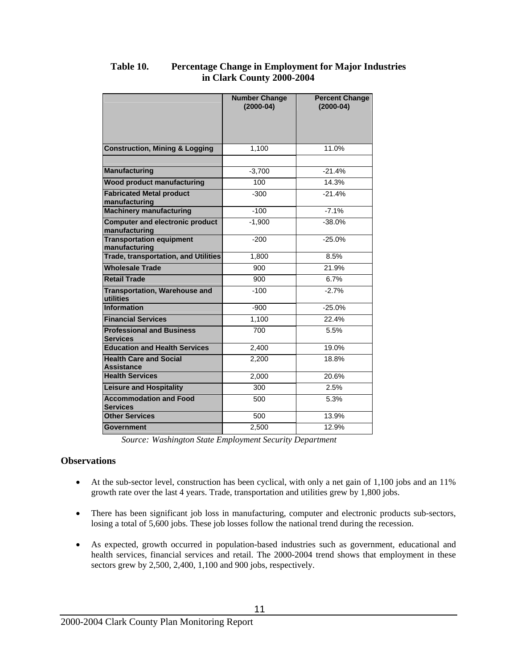|                                                         | <b>Number Change</b><br>$(2000-04)$ | <b>Percent Change</b><br>$(2000-04)$ |
|---------------------------------------------------------|-------------------------------------|--------------------------------------|
| <b>Construction, Mining &amp; Logging</b>               | 1.100                               | 11.0%                                |
| <b>Manufacturing</b>                                    | $-3,700$                            | $-21.4%$                             |
| <b>Wood product manufacturing</b>                       | 100                                 | 14.3%                                |
| <b>Fabricated Metal product</b><br>manufacturing        | $-300$                              | $-21.4%$                             |
| <b>Machinery manufacturing</b>                          | $-100$                              | $-7.1%$                              |
| <b>Computer and electronic product</b><br>manufacturing | $-1.900$                            | $-38.0%$                             |
| <b>Transportation equipment</b><br>manufacturing        | $-200$                              | $-25.0%$                             |
| <b>Trade, transportation, and Utilities</b>             | 1.800                               | 8.5%                                 |
| <b>Wholesale Trade</b>                                  | 900                                 | 21.9%                                |
| <b>Retail Trade</b>                                     | 900                                 | 6.7%                                 |
| <b>Transportation, Warehouse and</b><br>utilities       | $-100$                              | $-2.7%$                              |
| Information                                             | $-900$                              | $-25.0%$                             |
| <b>Financial Services</b>                               | 1,100                               | 22.4%                                |
| <b>Professional and Business</b><br><b>Services</b>     | 700                                 | 5.5%                                 |
| <b>Education and Health Services</b>                    | 2,400                               | 19.0%                                |
| <b>Health Care and Social</b><br><b>Assistance</b>      | 2.200                               | 18.8%                                |
| <b>Health Services</b>                                  | 2.000                               | 20.6%                                |
| <b>Leisure and Hospitality</b>                          | 300                                 | 2.5%                                 |
| <b>Accommodation and Food</b><br><b>Services</b>        | 500                                 | 5.3%                                 |
| <b>Other Services</b>                                   | 500                                 | 13.9%                                |
| <b>Government</b>                                       | 2.500                               | 12.9%                                |

# **Table 10. Percentage Change in Employment for Major Industries in Clark County 2000-2004**

*Source: Washington State Employment Security Department* 

- At the sub-sector level, construction has been cyclical, with only a net gain of 1,100 jobs and an 11% growth rate over the last 4 years. Trade, transportation and utilities grew by 1,800 jobs.
- There has been significant job loss in manufacturing, computer and electronic products sub-sectors, losing a total of 5,600 jobs. These job losses follow the national trend during the recession.
- As expected, growth occurred in population-based industries such as government, educational and health services, financial services and retail. The 2000-2004 trend shows that employment in these sectors grew by 2,500, 2,400, 1,100 and 900 jobs, respectively.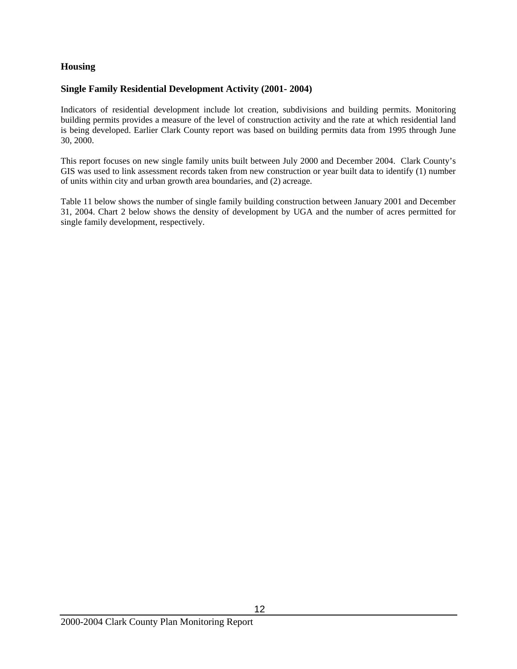## **Housing**

#### **Single Family Residential Development Activity (2001- 2004)**

Indicators of residential development include lot creation, subdivisions and building permits. Monitoring building permits provides a measure of the level of construction activity and the rate at which residential land is being developed. Earlier Clark County report was based on building permits data from 1995 through June 30, 2000.

This report focuses on new single family units built between July 2000 and December 2004. Clark County's GIS was used to link assessment records taken from new construction or year built data to identify (1) number of units within city and urban growth area boundaries, and (2) acreage.

Table 11 below shows the number of single family building construction between January 2001 and December 31, 2004. Chart 2 below shows the density of development by UGA and the number of acres permitted for single family development, respectively.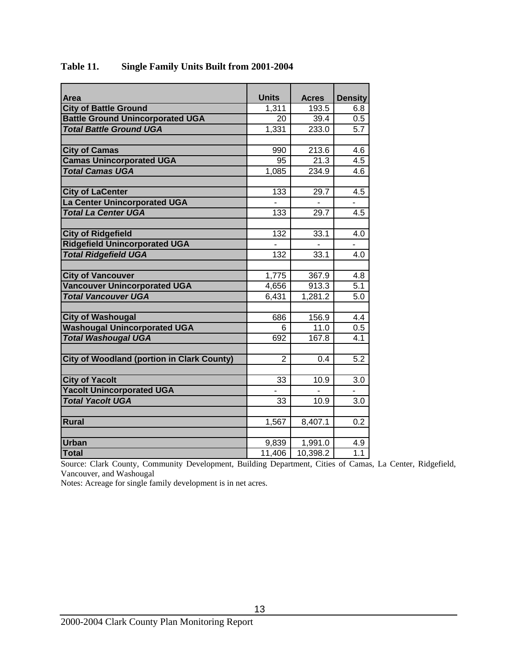| Area                                              | <b>Units</b>   | <b>Acres</b> | <b>Density</b> |
|---------------------------------------------------|----------------|--------------|----------------|
| <b>City of Battle Ground</b>                      | 1,311          | 193.5        | 6.8            |
| <b>Battle Ground Unincorporated UGA</b>           | 20             | 39.4         | 0.5            |
| <b>Total Battle Ground UGA</b>                    | 1,331          | 233.0        | 5.7            |
|                                                   |                |              |                |
| <b>City of Camas</b>                              | 990            | 213.6        | 4.6            |
| <b>Camas Unincorporated UGA</b>                   | 95             | 21.3         | 4.5            |
| <b>Total Camas UGA</b>                            | 1,085          | 234.9        | 4.6            |
|                                                   |                |              |                |
| <b>City of LaCenter</b>                           | 133            | 29.7         | 4.5            |
| <b>La Center Unincorporated UGA</b>               |                |              |                |
| <b>Total La Center UGA</b>                        | 133            | 29.7         | 4.5            |
|                                                   |                |              |                |
| <b>City of Ridgefield</b>                         | 132            | 33.1         | 4.0            |
| <b>Ridgefield Unincorporated UGA</b>              |                |              | $\overline{a}$ |
| <b>Total Ridgefield UGA</b>                       | 132            | 33.1         | 4.0            |
|                                                   |                |              |                |
| <b>City of Vancouver</b>                          | 1,775          | 367.9        | 4.8            |
| <b>Vancouver Unincorporated UGA</b>               | 4,656          | 913.3        | 5.1            |
| <b>Total Vancouver UGA</b>                        | 6,431          | 1,281.2      | 5.0            |
|                                                   |                |              |                |
| <b>City of Washougal</b>                          | 686            | 156.9        | 4.4            |
| <b>Washougal Unincorporated UGA</b>               | 6              | 11.0         | 0.5            |
| <b>Total Washougal UGA</b>                        | 692            | 167.8        | 4.1            |
|                                                   |                |              |                |
| <b>City of Woodland (portion in Clark County)</b> | $\overline{2}$ | 0.4          | 5.2            |
|                                                   |                |              |                |
| <b>City of Yacolt</b>                             | 33             | 10.9         | 3.0            |
| <b>Yacolt Unincorporated UGA</b>                  |                |              |                |
| <b>Total Yacolt UGA</b>                           | 33             | 10.9         | 3.0            |
|                                                   |                |              |                |
| <b>Rural</b>                                      | 1,567          | 8,407.1      | 0.2            |
|                                                   |                |              |                |
| <b>Urban</b>                                      | 9,839          | 1,991.0      | 4.9            |
| <b>Total</b>                                      | 11,406         | 10,398.2     | 1.1            |

# **Table 11. Single Family Units Built from 2001-2004**

Source: Clark County, Community Development, Building Department, Cities of Camas, La Center, Ridgefield, Vancouver, and Washougal

Notes: Acreage for single family development is in net acres.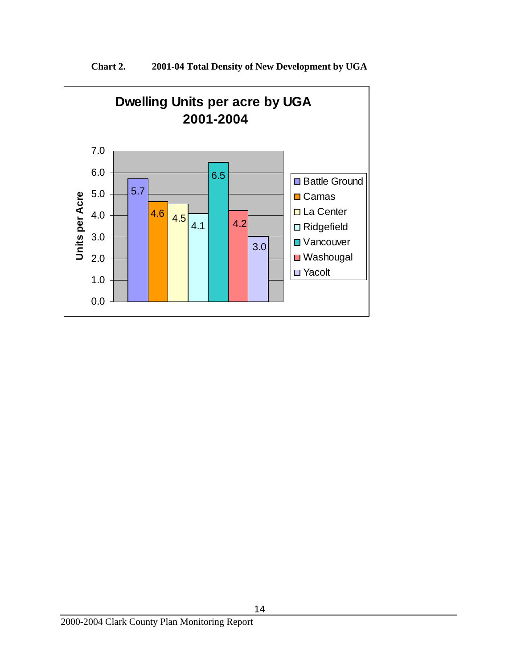

**Chart 2. 2001-04 Total Density of New Development by UGA**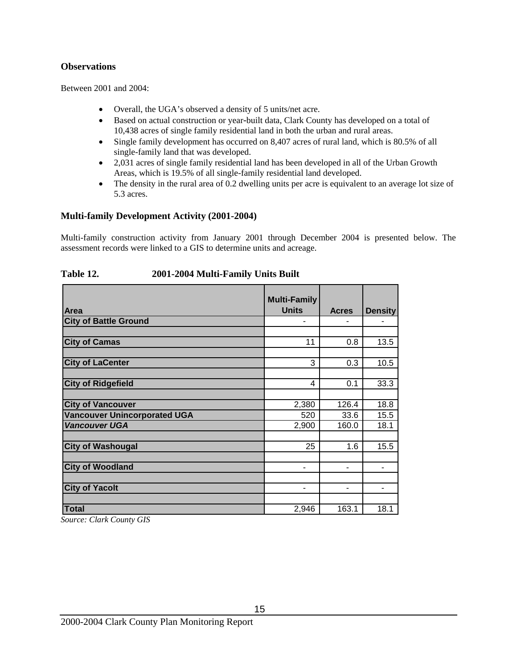## **Observations**

Between 2001 and 2004:

- Overall, the UGA's observed a density of 5 units/net acre.
- Based on actual construction or year-built data, Clark County has developed on a total of 10,438 acres of single family residential land in both the urban and rural areas.
- Single family development has occurred on 8,407 acres of rural land, which is 80.5% of all single-family land that was developed.
- 2,031 acres of single family residential land has been developed in all of the Urban Growth Areas, which is 19.5% of all single-family residential land developed.
- The density in the rural area of 0.2 dwelling units per acre is equivalent to an average lot size of 5.3 acres.

# **Multi-family Development Activity (2001-2004)**

Multi-family construction activity from January 2001 through December 2004 is presented below. The assessment records were linked to a GIS to determine units and acreage.

|                                     | <b>Multi-Family</b> |              |                |
|-------------------------------------|---------------------|--------------|----------------|
| Area                                | <b>Units</b>        | <b>Acres</b> | <b>Density</b> |
| <b>City of Battle Ground</b>        |                     |              |                |
|                                     |                     |              |                |
| <b>City of Camas</b>                | 11                  | 0.8          | 13.5           |
|                                     |                     |              |                |
| <b>City of LaCenter</b>             | 3                   | 0.3          | 10.5           |
|                                     |                     |              |                |
| <b>City of Ridgefield</b>           | 4                   | 0.1          | 33.3           |
|                                     |                     |              |                |
| <b>City of Vancouver</b>            | 2,380               | 126.4        | 18.8           |
| <b>Vancouver Unincorporated UGA</b> | 520                 | 33.6         | 15.5           |
| <b>Vancouver UGA</b>                | 2,900               | 160.0        | 18.1           |
|                                     |                     |              |                |
| <b>City of Washougal</b>            | 25                  | 1.6          | 15.5           |
|                                     |                     |              |                |
| <b>City of Woodland</b>             | ۰                   |              |                |
|                                     |                     |              |                |
| <b>City of Yacolt</b>               |                     |              |                |
|                                     |                     |              |                |
| <b>Total</b>                        | 2,946               | 163.1        | 18.1           |

#### **Table 12. 2001-2004 Multi-Family Units Built**

*Source: Clark County GIS*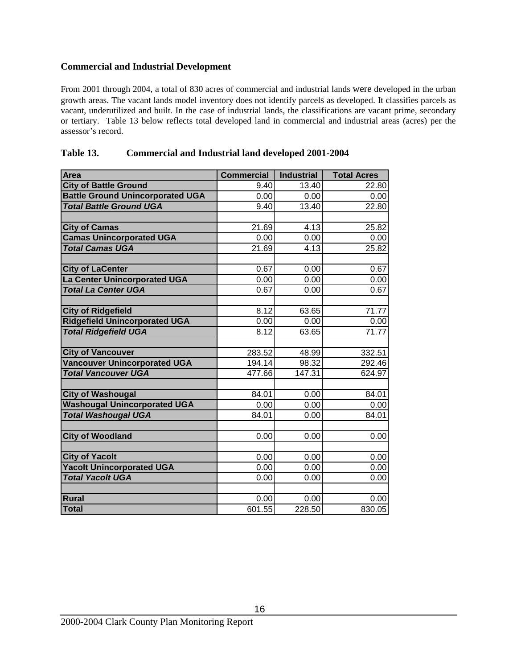# **Commercial and Industrial Development**

From 2001 through 2004, a total of 830 acres of commercial and industrial lands were developed in the urban growth areas. The vacant lands model inventory does not identify parcels as developed. It classifies parcels as vacant, underutilized and built. In the case of industrial lands, the classifications are vacant prime, secondary or tertiary. Table 13 below reflects total developed land in commercial and industrial areas (acres) per the assessor's record.

| Area                                    | <b>Commercial</b> | <b>Industrial</b> | <b>Total Acres</b> |
|-----------------------------------------|-------------------|-------------------|--------------------|
| <b>City of Battle Ground</b>            | 9.40              | 13.40             | 22.80              |
| <b>Battle Ground Unincorporated UGA</b> | 0.00              | 0.00              | 0.00               |
| <b>Total Battle Ground UGA</b>          | 9.40              | 13.40             | 22.80              |
|                                         |                   |                   |                    |
| <b>City of Camas</b>                    | 21.69             | 4.13              | 25.82              |
| <b>Camas Unincorporated UGA</b>         | 0.00              | 0.00              | 0.00               |
| <b>Total Camas UGA</b>                  | 21.69             | 4.13              | 25.82              |
|                                         |                   |                   |                    |
| <b>City of LaCenter</b>                 | 0.67              | 0.00              | 0.67               |
| La Center Unincorporated UGA            | 0.00              | 0.00              | 0.00               |
| <b>Total La Center UGA</b>              | 0.67              | 0.00              | 0.67               |
|                                         |                   |                   |                    |
| <b>City of Ridgefield</b>               | 8.12              | 63.65             | 71.77              |
| <b>Ridgefield Unincorporated UGA</b>    | 0.00              | 0.00              | 0.00               |
| <b>Total Ridgefield UGA</b>             | 8.12              | 63.65             | 71.77              |
|                                         |                   |                   |                    |
| <b>City of Vancouver</b>                | 283.52            | 48.99             | 332.51             |
| <b>Vancouver Unincorporated UGA</b>     | 194.14            | 98.32             | 292.46             |
| <b>Total Vancouver UGA</b>              | 477.66            | 147.31            | 624.97             |
|                                         |                   |                   |                    |
| <b>City of Washougal</b>                | 84.01             | 0.00              | 84.01              |
| <b>Washougal Unincorporated UGA</b>     | 0.00              | 0.00              | 0.00               |
| <b>Total Washougal UGA</b>              | 84.01             | 0.00              | 84.01              |
|                                         |                   |                   |                    |
| <b>City of Woodland</b>                 | 0.00              | 0.00              | 0.00               |
|                                         |                   |                   |                    |
| <b>City of Yacolt</b>                   | 0.00              | 0.00              | 0.00               |
| <b>Yacolt Unincorporated UGA</b>        | 0.00              | 0.00              | 0.00               |
| <b>Total Yacolt UGA</b>                 | 0.00              | 0.00              | 0.00               |
| Rural                                   |                   |                   |                    |
| Total                                   | 0.00<br>601.55    | 0.00<br>228.50    | 0.00<br>830.05     |
|                                         |                   |                   |                    |

| Table 13. | <b>Commercial and Industrial land developed 2001-2004</b> |  |
|-----------|-----------------------------------------------------------|--|
|           |                                                           |  |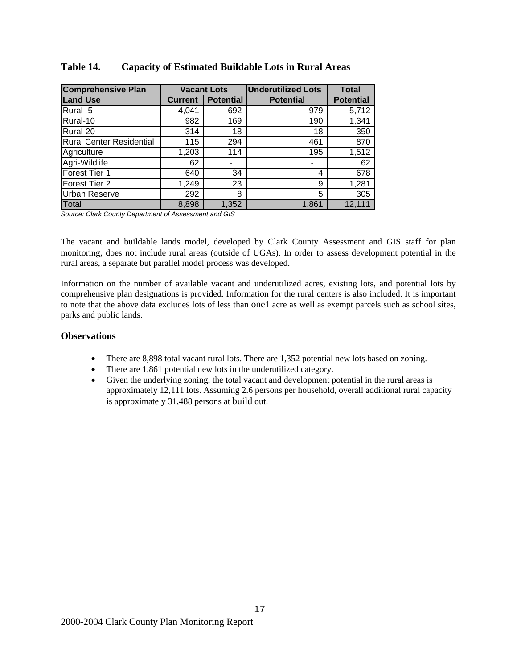| <b>Comprehensive Plan</b>       | <b>Vacant Lots</b> |                  | <b>Underutilized Lots</b> | <b>Total</b>     |
|---------------------------------|--------------------|------------------|---------------------------|------------------|
| <b>Land Use</b>                 | <b>Current</b>     | <b>Potential</b> | <b>Potential</b>          | <b>Potential</b> |
| Rural -5                        | 4,041              | 692              | 979                       | 5,712            |
| Rural-10                        | 982                | 169              | 190                       | 1,341            |
| Rural-20                        | 314                | 18               | 18                        | 350              |
| <b>Rural Center Residential</b> | 115                | 294              | 461                       | 870              |
| Agriculture                     | 1,203              | 114              | 195                       | 1,512            |
| Agri-Wildlife                   | 62                 |                  | ۰                         | 62               |
| Forest Tier 1                   | 640                | 34               | 4                         | 678              |
| <b>Forest Tier 2</b>            | 1,249              | 23               | 9                         | 1,281            |
| <b>Urban Reserve</b>            | 292                | 8                | 5                         | 305              |
| Total                           | 8,898              | 1,352            | 1,861                     | 12,111           |

# **Table 14. Capacity of Estimated Buildable Lots in Rural Areas**

*Source: Clark County Department of Assessment and GIS* 

The vacant and buildable lands model, developed by Clark County Assessment and GIS staff for plan monitoring, does not include rural areas (outside of UGAs). In order to assess development potential in the rural areas, a separate but parallel model process was developed.

Information on the number of available vacant and underutilized acres, existing lots, and potential lots by comprehensive plan designations is provided. Information for the rural centers is also included. It is important to note that the above data excludes lots of less than one1 acre as well as exempt parcels such as school sites, parks and public lands.

- There are 8,898 total vacant rural lots. There are 1,352 potential new lots based on zoning.
- There are 1,861 potential new lots in the underutilized category.
- Given the underlying zoning, the total vacant and development potential in the rural areas is approximately 12,111 lots. Assuming 2.6 persons per household, overall additional rural capacity is approximately 31,488 persons at build out.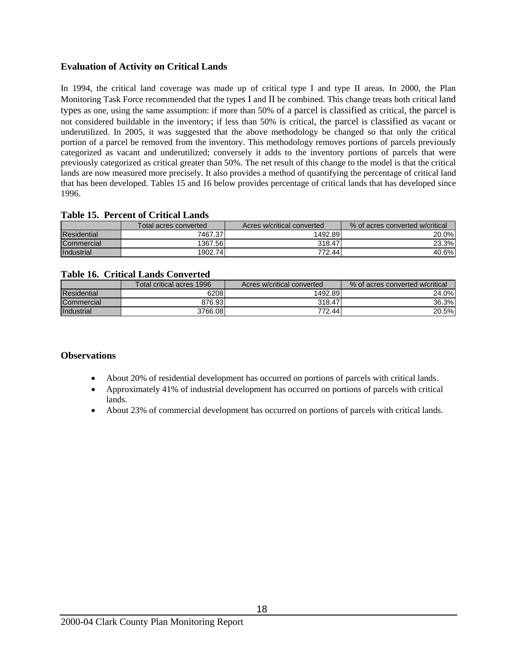# **Evaluation of Activity on Critical Lands**

In 1994, the critical land coverage was made up of critical type I and type II areas. In 2000, the Plan Monitoring Task Force recommended that the types I and II be combined. This change treats both critical land types as one, using the same assumption: if more than 50% of a parcel is classified as critical, the parcel is not considered buildable in the inventory; if less than 50% is critical, the parcel is classified as vacant or underutilized. In 2005, it was suggested that the above methodology be changed so that only the critical portion of a parcel be removed from the inventory. This methodology removes portions of parcels previously categorized as vacant and underutilized; conversely it adds to the inventory portions of parcels that were previously categorized as critical greater than 50%. The net result of this change to the model is that the critical lands are now measured more precisely. It also provides a method of quantifying the percentage of critical land that has been developed. Tables 15 and 16 below provides percentage of critical lands that has developed since 1996.

## **Table 15. Percent of Critical Lands**

|                    | Total acres converted | Acres w/critical converted | % of acres converted w/critical |
|--------------------|-----------------------|----------------------------|---------------------------------|
| <b>Residential</b> | 7467.371              | 1492.89                    | 20.0%                           |
| Commercial         | 1367.56               | 318.47                     | 23.3%                           |
| Industrial         | 1902.741              | 772.44                     | 40.6%                           |

## **Table 16. Critical Lands Converted**

|                    | Total critical acres 1996 | Acres w/critical converted | % of acres converted w/critical |
|--------------------|---------------------------|----------------------------|---------------------------------|
| <b>Residential</b> | 6208                      | 1492.89                    | 24.0%                           |
| Commercial         | 876.931                   | 318.47                     | 36.3%                           |
| Industrial         | 3766.08                   | 772.44                     | 20.5%                           |

- About 20% of residential development has occurred on portions of parcels with critical lands.
- Approximately 41% of industrial development has occurred on portions of parcels with critical lands.
- About 23% of commercial development has occurred on portions of parcels with critical lands.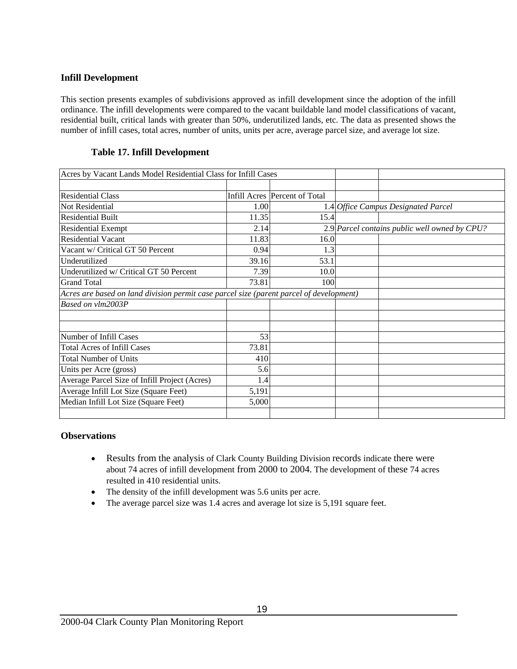## **nfill Development I**

residential built, critical lands with greater than 50%, underutilized lands, etc. The data as presented shows the number of infill cases, total acres, number of units, units per acre, average parcel size, and average lot size. This section presents examples of subdivisions approved as infill development since the adoption of the infill ordinance. The infill developments were compared to the vacant buildable land model classifications of vacant,

# **Table 17. Infill Development**

| Acres by Vacant Lands Model Residential Class for Infill Cases                          |       |                               |                                               |
|-----------------------------------------------------------------------------------------|-------|-------------------------------|-----------------------------------------------|
|                                                                                         |       |                               |                                               |
| <b>Residential Class</b>                                                                |       | Infill Acres Percent of Total |                                               |
| Not Residential                                                                         | 1.00  |                               | 1.4 Office Campus Designated Parcel           |
| <b>Residential Built</b>                                                                | 11.35 | 15.4                          |                                               |
| <b>Residential Exempt</b>                                                               | 2.14  |                               | 2.9 Parcel contains public well owned by CPU? |
| <b>Residential Vacant</b>                                                               | 11.83 | 16.0                          |                                               |
| Vacant w/ Critical GT 50 Percent                                                        | 0.94  | 1.3                           |                                               |
| Underutilized                                                                           | 39.16 | 53.1                          |                                               |
| Underutilized w/ Critical GT 50 Percent                                                 | 7.39  | 10.0                          |                                               |
| <b>Grand Total</b>                                                                      | 73.81 | 100                           |                                               |
| Acres are based on land division permit case parcel size (parent parcel of development) |       |                               |                                               |
| Based on vlm2003P                                                                       |       |                               |                                               |
|                                                                                         |       |                               |                                               |
|                                                                                         |       |                               |                                               |
| Number of Infill Cases                                                                  | 53    |                               |                                               |
| <b>Total Acres of Infill Cases</b>                                                      | 73.81 |                               |                                               |
| <b>Total Number of Units</b>                                                            | 410   |                               |                                               |
| Units per Acre (gross)                                                                  | 5.6   |                               |                                               |
| Average Parcel Size of Infill Project (Acres)                                           | 1.4   |                               |                                               |
| Average Infill Lot Size (Square Feet)                                                   | 5,191 |                               |                                               |
| Median Infill Lot Size (Square Feet)                                                    | 5,000 |                               |                                               |
|                                                                                         |       |                               |                                               |

- Results from the analysis of Clark County Building Division records indicate there were about 74 acres of infill development from 2000 to 2004. The development of these 74 acres resulted in 410 residential units.
- The density of the infill development was 5.6 units per acre.
- The average parcel size was 1.4 acres and average lot size is 5,191 square feet.